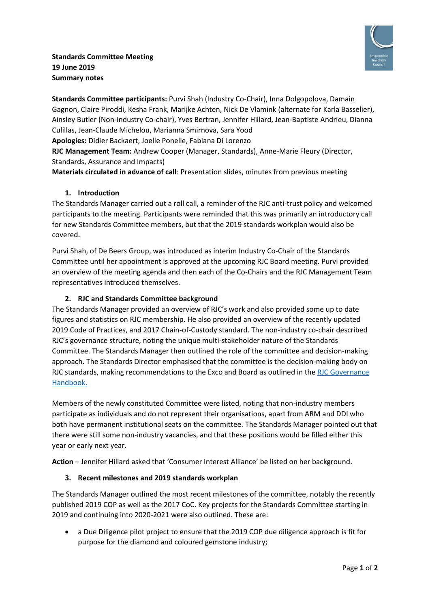

**Standards Committee participants:** Purvi Shah (Industry Co-Chair), Inna Dolgopolova, Damain Gagnon, Claire Piroddi, Kesha Frank, Marijke Achten, Nick De Vlamink (alternate for Karla Basselier), Ainsley Butler (Non-industry Co-chair), Yves Bertran, Jennifer Hillard, Jean-Baptiste Andrieu, Dianna Culillas, Jean-Claude Michelou, Marianna Smirnova, Sara Yood

**Apologies:** Didier Backaert, Joelle Ponelle, Fabiana Di Lorenzo

**RJC Management Team:** Andrew Cooper (Manager, Standards), Anne-Marie Fleury (Director, Standards, Assurance and Impacts)

**Materials circulated in advance of call**: Presentation slides, minutes from previous meeting

## **1. Introduction**

The Standards Manager carried out a roll call, a reminder of the RJC anti-trust policy and welcomed participants to the meeting. Participants were reminded that this was primarily an introductory call for new Standards Committee members, but that the 2019 standards workplan would also be covered.

Purvi Shah, of De Beers Group, was introduced as interim Industry Co-Chair of the Standards Committee until her appointment is approved at the upcoming RJC Board meeting. Purvi provided an overview of the meeting agenda and then each of the Co-Chairs and the RJC Management Team representatives introduced themselves.

## **2. RJC and Standards Committee background**

The Standards Manager provided an overview of RJC's work and also provided some up to date figures and statistics on RJC membership. He also provided an overview of the recently updated 2019 Code of Practices, and 2017 Chain-of-Custody standard. The non-industry co-chair described RJC's governance structure, noting the unique multi-stakeholder nature of the Standards Committee. The Standards Manager then outlined the role of the committee and decision-making approach. The Standards Director emphasised that the committee is the decision-making body on RJC standards, making recommendations to the Exco and Board as outlined in the [RJC Governance](https://www.responsiblejewellery.com/files/2018-RJC-Governance-Handbook.pdf)  [Handbook.](https://www.responsiblejewellery.com/files/2018-RJC-Governance-Handbook.pdf)

Members of the newly constituted Committee were listed, noting that non-industry members participate as individuals and do not represent their organisations, apart from ARM and DDI who both have permanent institutional seats on the committee. The Standards Manager pointed out that there were still some non-industry vacancies, and that these positions would be filled either this year or early next year.

**Action** – Jennifer Hillard asked that 'Consumer Interest Alliance' be listed on her background.

## **3. Recent milestones and 2019 standards workplan**

The Standards Manager outlined the most recent milestones of the committee, notably the recently published 2019 COP as well as the 2017 CoC. Key projects for the Standards Committee starting in 2019 and continuing into 2020-2021 were also outlined. These are:

• a Due Diligence pilot project to ensure that the 2019 COP due diligence approach is fit for purpose for the diamond and coloured gemstone industry;